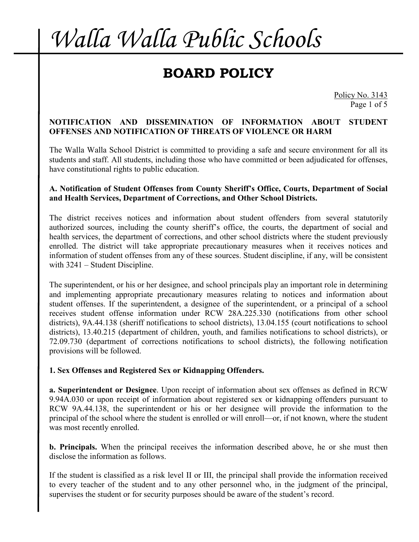## **BOARD POLICY**

Policy No. 3143 Page 1 of 5

#### **NOTIFICATION AND DISSEMINATION OF INFORMATION ABOUT STUDENT OFFENSES AND NOTIFICATION OF THREATS OF VIOLENCE OR HARM**

The Walla Walla School District is committed to providing a safe and secure environment for all its students and staff. All students, including those who have committed or been adjudicated for offenses, have constitutional rights to public education.

#### **A. Notification of Student Offenses from County Sheriff's Office, Courts, Department of Social and Health Services, Department of Corrections, and Other School Districts.**

The district receives notices and information about student offenders from several statutorily authorized sources, including the county sheriff's office, the courts, the department of social and health services, the department of corrections, and other school districts where the student previously enrolled. The district will take appropriate precautionary measures when it receives notices and information of student offenses from any of these sources. Student discipline, if any, will be consistent with 3241 – Student Discipline.

The superintendent, or his or her designee, and school principals play an important role in determining and implementing appropriate precautionary measures relating to notices and information about student offenses. If the superintendent, a designee of the superintendent, or a principal of a school receives student offense information under RCW 28A.225.330 (notifications from other school districts), 9A.44.138 (sheriff notifications to school districts), 13.04.155 (court notifications to school districts), 13.40.215 (department of children, youth, and families notifications to school districts), or 72.09.730 (department of corrections notifications to school districts), the following notification provisions will be followed.

### **1. Sex Offenses and Registered Sex or Kidnapping Offenders.**

**a. Superintendent or Designee**. Upon receipt of information about sex offenses as defined in RCW 9.94A.030 or upon receipt of information about registered sex or kidnapping offenders pursuant to RCW 9A.44.138, the superintendent or his or her designee will provide the information to the principal of the school where the student is enrolled or will enroll—or, if not known, where the student was most recently enrolled.

**b. Principals.** When the principal receives the information described above, he or she must then disclose the information as follows.

If the student is classified as a risk level II or III, the principal shall provide the information received to every teacher of the student and to any other personnel who, in the judgment of the principal, supervises the student or for security purposes should be aware of the student's record.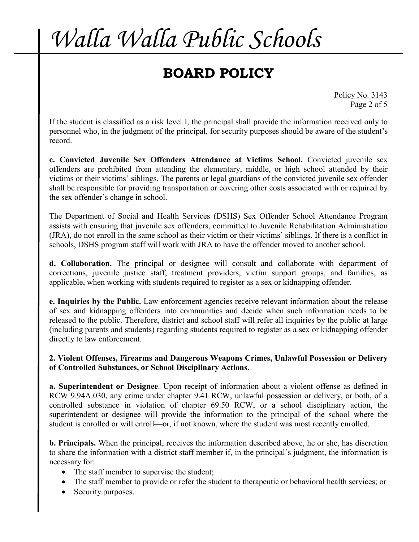## **BOARD POLICY**

Policy No. 3143 Page 2 of 5

If the student is classified as a risk level I, the principal shall provide the information received only to personnel who, in the judgment of the principal, for security purposes should be aware of the student's record.

**c. Convicted Juvenile Sex Offenders Attendance at Victims School.** Convicted juvenile sex offenders are prohibited from attending the elementary, middle, or high school attended by their victims or their victims' siblings. The parents or legal guardians of the convicted juvenile sex offender shall be responsible for providing transportation or covering other costs associated with or required by the sex offender's change in school.

The Department of Social and Health Services (DSHS) Sex Offender School Attendance Program assists with ensuring that juvenile sex offenders, committed to Juvenile Rehabilitation Administration (JRA), do not enroll in the same school as their victim or their victims' siblings. If there is a conflict in schools, DSHS program staff will work with JRA to have the offender moved to another school.

**d. Collaboration.** The principal or designee will consult and collaborate with department of corrections, juvenile justice staff, treatment providers, victim support groups, and families, as applicable, when working with students required to register as a sex or kidnapping offender.

**e. Inquiries by the Public.** Law enforcement agencies receive relevant information about the release of sex and kidnapping offenders into communities and decide when such information needs to be released to the public. Therefore, district and school staff will refer all inquiries by the public at large (including parents and students) regarding students required to register as a sex or kidnapping offender directly to law enforcement.

#### **2. Violent Offenses, Firearms and Dangerous Weapons Crimes, Unlawful Possession or Delivery of Controlled Substances, or School Disciplinary Actions.**

**a. Superintendent or Designee**. Upon receipt of information about a violent offense as defined in RCW 9.94A.030, any crime under chapter 9.41 RCW, unlawful possession or delivery, or both, of a controlled substance in violation of chapter 69.50 RCW, or a school disciplinary action, the superintendent or designee will provide the information to the principal of the school where the student is enrolled or will enroll—or, if not known, where the student was most recently enrolled.

**b. Principals.** When the principal, receives the information described above, he or she, has discretion to share the information with a district staff member if, in the principal's judgment, the information is necessary for:

- The staff member to supervise the student;
- The staff member to provide or refer the student to therapeutic or behavioral health services; or
- Security purposes.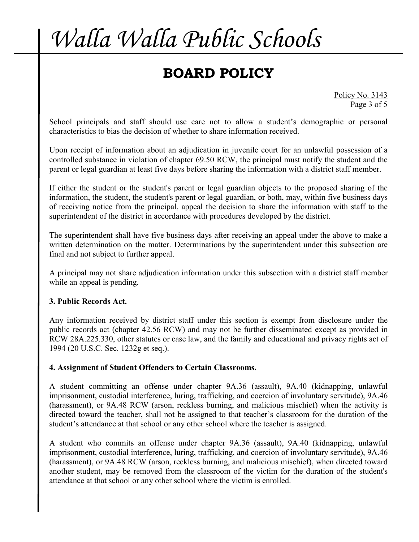## **BOARD POLICY**

Policy No. 3143 Page 3 of 5

School principals and staff should use care not to allow a student's demographic or personal characteristics to bias the decision of whether to share information received.

Upon receipt of information about an adjudication in juvenile court for an unlawful possession of a controlled substance in violation of chapter 69.50 RCW, the principal must notify the student and the parent or legal guardian at least five days before sharing the information with a district staff member.

If either the student or the student's parent or legal guardian objects to the proposed sharing of the information, the student, the student's parent or legal guardian, or both, may, within five business days of receiving notice from the principal, appeal the decision to share the information with staff to the superintendent of the district in accordance with procedures developed by the district.

The superintendent shall have five business days after receiving an appeal under the above to make a written determination on the matter. Determinations by the superintendent under this subsection are final and not subject to further appeal.

A principal may not share adjudication information under this subsection with a district staff member while an appeal is pending.

### **3. Public Records Act.**

Any information received by district staff under this section is exempt from disclosure under the public records act (chapter 42.56 RCW) and may not be further disseminated except as provided in RCW 28A.225.330, other statutes or case law, and the family and educational and privacy rights act of 1994 (20 U.S.C. Sec. 1232g et seq.).

#### **4. Assignment of Student Offenders to Certain Classrooms.**

A student committing an offense under chapter 9A.36 (assault), 9A.40 (kidnapping, unlawful imprisonment, custodial interference, luring, trafficking, and coercion of involuntary servitude), 9A.46 (harassment), or 9A.48 RCW (arson, reckless burning, and malicious mischief) when the activity is directed toward the teacher, shall not be assigned to that teacher's classroom for the duration of the student's attendance at that school or any other school where the teacher is assigned.

A student who commits an offense under chapter 9A.36 (assault), 9A.40 (kidnapping, unlawful imprisonment, custodial interference, luring, trafficking, and coercion of involuntary servitude), 9A.46 (harassment), or 9A.48 RCW (arson, reckless burning, and malicious mischief), when directed toward another student, may be removed from the classroom of the victim for the duration of the student's attendance at that school or any other school where the victim is enrolled.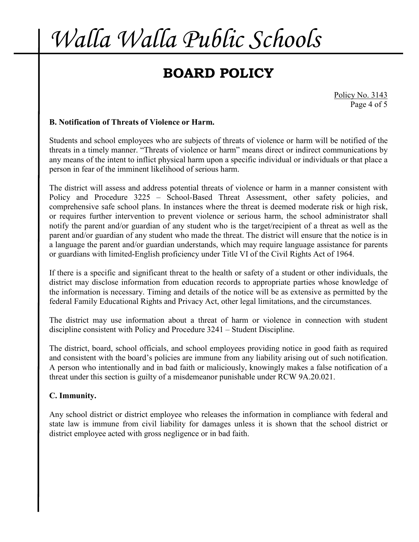## **BOARD POLICY**

Policy No. 3143 Page 4 of 5

### **B. Notification of Threats of Violence or Harm.**

Students and school employees who are subjects of threats of violence or harm will be notified of the threats in a timely manner. "Threats of violence or harm" means direct or indirect communications by any means of the intent to inflict physical harm upon a specific individual or individuals or that place a person in fear of the imminent likelihood of serious harm.

The district will assess and address potential threats of violence or harm in a manner consistent with Policy and Procedure 3225 – School-Based Threat Assessment, other safety policies, and comprehensive safe school plans. In instances where the threat is deemed moderate risk or high risk, or requires further intervention to prevent violence or serious harm, the school administrator shall notify the parent and/or guardian of any student who is the target/recipient of a threat as well as the parent and/or guardian of any student who made the threat. The district will ensure that the notice is in a language the parent and/or guardian understands, which may require language assistance for parents or guardians with limited-English proficiency under Title VI of the Civil Rights Act of 1964.

If there is a specific and significant threat to the health or safety of a student or other individuals, the district may disclose information from education records to appropriate parties whose knowledge of the information is necessary. Timing and details of the notice will be as extensive as permitted by the federal Family Educational Rights and Privacy Act, other legal limitations, and the circumstances.

The district may use information about a threat of harm or violence in connection with student discipline consistent with Policy and Procedure 3241 – Student Discipline.

The district, board, school officials, and school employees providing notice in good faith as required and consistent with the board's policies are immune from any liability arising out of such notification. A person who intentionally and in bad faith or maliciously, knowingly makes a false notification of a threat under this section is guilty of a misdemeanor punishable under RCW 9A.20.021.

### **C. Immunity.**

Any school district or district employee who releases the information in compliance with federal and state law is immune from civil liability for damages unless it is shown that the school district or district employee acted with gross negligence or in bad faith.